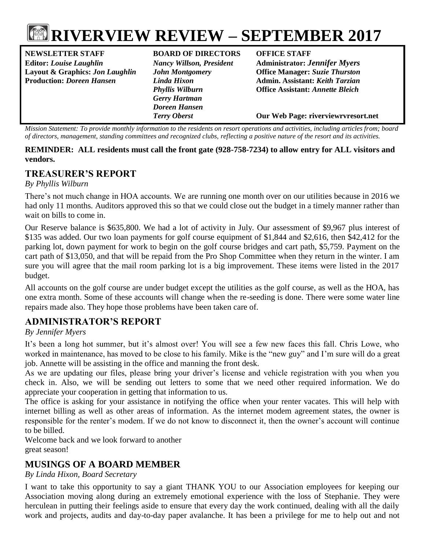

**NEWSLETTER STAFF BOARD OF DIRECTORS OFFICE STAFF Editor:** *Louise Laughlin Nancy Willson, President* **Administrator:** *Jennifer Myers* **Layout & Graphics:** *Jon Laughlin John Montgomery* **Office Manager:** *Suzie Thurston*

*Gerry Hartman Doreen Hansen*

**Production:** *Doreen Hansen Linda Hixon* **Admin. Assistant:** *Keith Tarzian Phyllis Wilburn* **Office Assistant:** *Annette Bleich*

*Terry Oberst* **Our Web Page: riverviewrvresort.net**

*Mission Statement: To provide monthly information to the residents on resort operations and activities, including articles from; board of directors, management, standing committees and recognized clubs, reflecting a positive nature of the resort and its activities.*

#### **REMINDER: ALL residents must call the front gate (928-758-7234) to allow entry for ALL visitors and vendors.**

## **TREASURER'S REPORT**

#### *By Phyllis Wilburn*

There's not much change in HOA accounts. We are running one month over on our utilities because in 2016 we had only 11 months. Auditors approved this so that we could close out the budget in a timely manner rather than wait on bills to come in.

Our Reserve balance is \$635,800. We had a lot of activity in July. Our assessment of \$9,967 plus interest of \$135 was added. Our two loan payments for golf course equipment of \$1,844 and \$2,616, then \$42,412 for the parking lot, down payment for work to begin on the golf course bridges and cart path, \$5,759. Payment on the cart path of \$13,050, and that will be repaid from the Pro Shop Committee when they return in the winter. I am sure you will agree that the mail room parking lot is a big improvement. These items were listed in the 2017 budget.

All accounts on the golf course are under budget except the utilities as the golf course, as well as the HOA, has one extra month. Some of these accounts will change when the re-seeding is done. There were some water line repairs made also. They hope those problems have been taken care of.

# **ADMINISTRATOR'S REPORT**

#### *By Jennifer Myers*

It's been a long hot summer, but it's almost over! You will see a few new faces this fall. Chris Lowe, who worked in maintenance, has moved to be close to his family. Mike is the "new guy" and I'm sure will do a great job. Annette will be assisting in the office and manning the front desk.

As we are updating our files, please bring your driver's license and vehicle registration with you when you check in. Also, we will be sending out letters to some that we need other required information. We do appreciate your cooperation in getting that information to us.

The office is asking for your assistance in notifying the office when your renter vacates. This will help with internet billing as well as other areas of information. As the internet modem agreement states, the owner is responsible for the renter's modem. If we do not know to disconnect it, then the owner's account will continue to be billed.

Welcome back and we look forward to another great season!

# **MUSINGS OF A BOARD MEMBER**

*By Linda Hixon, Board Secretary*

I want to take this opportunity to say a giant THANK YOU to our Association employees for keeping our Association moving along during an extremely emotional experience with the loss of Stephanie. They were herculean in putting their feelings aside to ensure that every day the work continued, dealing with all the daily work and projects, audits and day-to-day paper avalanche. It has been a privilege for me to help out and not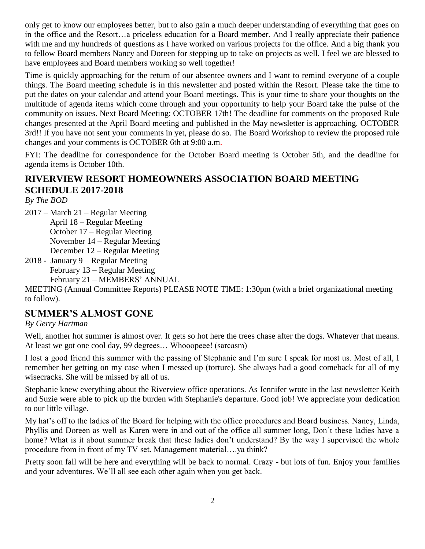only get to know our employees better, but to also gain a much deeper understanding of everything that goes on in the office and the Resort…a priceless education for a Board member. And I really appreciate their patience with me and my hundreds of questions as I have worked on various projects for the office. And a big thank you to fellow Board members Nancy and Doreen for stepping up to take on projects as well. I feel we are blessed to have employees and Board members working so well together!

Time is quickly approaching for the return of our absentee owners and I want to remind everyone of a couple things. The Board meeting schedule is in this newsletter and posted within the Resort. Please take the time to put the dates on your calendar and attend your Board meetings. This is your time to share your thoughts on the multitude of agenda items which come through and your opportunity to help your Board take the pulse of the community on issues. Next Board Meeting: OCTOBER 17th! The deadline for comments on the proposed Rule changes presented at the April Board meeting and published in the May newsletter is approaching. OCTOBER 3rd!! If you have not sent your comments in yet, please do so. The Board Workshop to review the proposed rule changes and your comments is OCTOBER 6th at 9:00 a.m.

FYI: The deadline for correspondence for the October Board meeting is October 5th, and the deadline for agenda items is October 10th.

## **RIVERVIEW RESORT HOMEOWNERS ASSOCIATION BOARD MEETING SCHEDULE 2017-2018**

*By The BOD*

2017 – March 21 – Regular Meeting

April 18 – Regular Meeting October 17 – Regular Meeting

November 14 – Regular Meeting

December 12 – Regular Meeting

2018 - January 9 – Regular Meeting February 13 – Regular Meeting February 21 – MEMBERS' ANNUAL

MEETING (Annual Committee Reports) PLEASE NOTE TIME: 1:30pm (with a brief organizational meeting to follow).

## **SUMMER'S ALMOST GONE**

## *By Gerry Hartman*

Well, another hot summer is almost over. It gets so hot here the trees chase after the dogs. Whatever that means. At least we got one cool day, 99 degrees... Whooopeee! (sarcasm)

I lost a good friend this summer with the passing of Stephanie and I'm sure I speak for most us. Most of all, I remember her getting on my case when I messed up (torture). She always had a good comeback for all of my wisecracks. She will be missed by all of us.

Stephanie knew everything about the Riverview office operations. As Jennifer wrote in the last newsletter Keith and Suzie were able to pick up the burden with Stephanie's departure. Good job! We appreciate your dedication to our little village.

My hat's off to the ladies of the Board for helping with the office procedures and Board business. Nancy, Linda, Phyllis and Doreen as well as Karen were in and out of the office all summer long, Don't these ladies have a home? What is it about summer break that these ladies don't understand? By the way I supervised the whole procedure from in front of my TV set. Management material….ya think?

Pretty soon fall will be here and everything will be back to normal. Crazy - but lots of fun. Enjoy your families and your adventures. We'll all see each other again when you get back.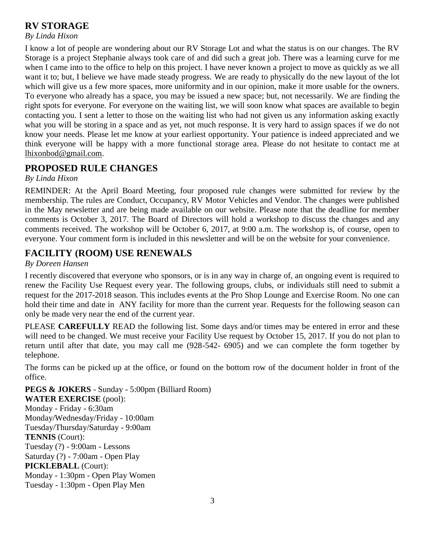# **RV STORAGE**

#### *By Linda Hixon*

I know a lot of people are wondering about our RV Storage Lot and what the status is on our changes. The RV Storage is a project Stephanie always took care of and did such a great job. There was a learning curve for me when I came into to the office to help on this project. I have never known a project to move as quickly as we all want it to; but, I believe we have made steady progress. We are ready to physically do the new layout of the lot which will give us a few more spaces, more uniformity and in our opinion, make it more usable for the owners. To everyone who already has a space, you may be issued a new space; but, not necessarily. We are finding the right spots for everyone. For everyone on the waiting list, we will soon know what spaces are available to begin contacting you. I sent a letter to those on the waiting list who had not given us any information asking exactly what you will be storing in a space and as yet, not much response. It is very hard to assign spaces if we do not know your needs. Please let me know at your earliest opportunity. Your patience is indeed appreciated and we think everyone will be happy with a more functional storage area. Please do not hesitate to contact me at [lhixonbod@gmail.com.](mailto:lhixonbod@gmail.com)

## **PROPOSED RULE CHANGES**

#### *By Linda Hixon*

REMINDER: At the April Board Meeting, four proposed rule changes were submitted for review by the membership. The rules are Conduct, Occupancy, RV Motor Vehicles and Vendor. The changes were published in the May newsletter and are being made available on our website. Please note that the deadline for member comments is October 3, 2017. The Board of Directors will hold a workshop to discuss the changes and any comments received. The workshop will be October 6, 2017, at 9:00 a.m. The workshop is, of course, open to everyone. Your comment form is included in this newsletter and will be on the website for your convenience.

# **FACILITY (ROOM) USE RENEWALS**

### *By Doreen Hansen*

I recently discovered that everyone who sponsors, or is in any way in charge of, an ongoing event is required to renew the Facility Use Request every year. The following groups, clubs, or individuals still need to submit a request for the 2017-2018 season. This includes events at the Pro Shop Lounge and Exercise Room. No one can hold their time and date in ANY facility for more than the current year. Requests for the following season can only be made very near the end of the current year.

PLEASE **CAREFULLY** READ the following list. Some days and/or times may be entered in error and these will need to be changed. We must receive your Facility Use request by October 15, 2017. If you do not plan to return until after that date, you may call me (928-542- 6905) and we can complete the form together by telephone.

The forms can be picked up at the office, or found on the bottom row of the document holder in front of the office.

**PEGS & JOKERS** - Sunday - 5:00pm (Billiard Room) **WATER EXERCISE** (pool): Monday - Friday - 6:30am Monday/Wednesday/Friday - 10:00am Tuesday/Thursday/Saturday - 9:00am **TENNIS** (Court): Tuesday (?) - 9:00am - Lessons Saturday (?) - 7:00am - Open Play **PICKLEBALL** (Court): Monday - 1:30pm - Open Play Women Tuesday - 1:30pm - Open Play Men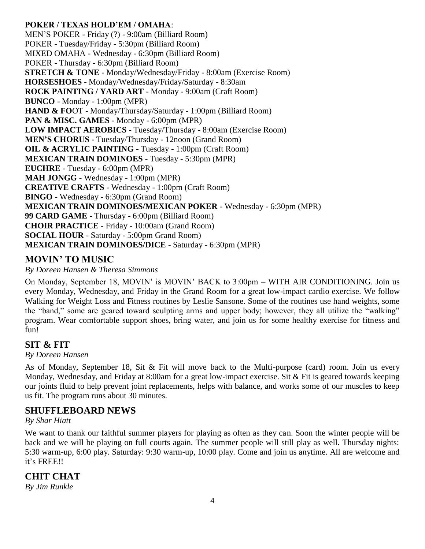**POKER / TEXAS HOLD'EM / OMAHA**: MEN'S POKER - Friday (?) - 9:00am (Billiard Room) POKER - Tuesday/Friday - 5:30pm (Billiard Room) MIXED OMAHA - Wednesday - 6:30pm (Billiard Room) POKER - Thursday - 6:30pm (Billiard Room) **STRETCH & TONE** - Monday/Wednesday/Friday - 8:00am (Exercise Room) **HORSESHOES** - Monday/Wednesday/Friday/Saturday - 8:30am **ROCK PAINTING / YARD ART** - Monday - 9:00am (Craft Room) **BUNCO** - Monday - 1:00pm (MPR) **HAND & FO**OT - Monday/Thursday/Saturday - 1:00pm (Billiard Room) **PAN & MISC. GAMES** - Monday - 6:00pm (MPR) **LOW IMPACT AEROBICS** - Tuesday/Thursday - 8:00am (Exercise Room) **MEN'S CHORUS** - Tuesday/Thursday - 12noon (Grand Room) **OIL & ACRYLIC PAINTING** - Tuesday - 1:00pm (Craft Room) **MEXICAN TRAIN DOMINOES** - Tuesday - 5:30pm (MPR) **EUCHRE** - Tuesday - 6:00pm (MPR) **MAH JONGG** - Wednesday - 1:00pm (MPR) **CREATIVE CRAFTS** - Wednesday - 1:00pm (Craft Room) **BINGO** - Wednesday - 6:30pm (Grand Room) **MEXICAN TRAIN DOMINOES/MEXICAN POKER** - Wednesday - 6:30pm (MPR) **99 CARD GAME** - Thursday - 6:00pm (Billiard Room) **CHOIR PRACTICE** - Friday - 10:00am (Grand Room) **SOCIAL HOUR** - Saturday - 5:00pm Grand Room) **MEXICAN TRAIN DOMINOES/DICE** - Saturday - 6:30pm (MPR)

## **MOVIN' TO MUSIC**

*By Doreen Hansen & Theresa Simmons*

On Monday, September 18, MOVIN' is MOVIN' BACK to 3:00pm – WITH AIR CONDITIONING. Join us every Monday, Wednesday, and Friday in the Grand Room for a great low-impact cardio exercise. We follow Walking for Weight Loss and Fitness routines by Leslie Sansone. Some of the routines use hand weights, some the "band," some are geared toward sculpting arms and upper body; however, they all utilize the "walking" program. Wear comfortable support shoes, bring water, and join us for some healthy exercise for fitness and fun!

## **SIT & FIT**

*By Doreen Hansen*

As of Monday, September 18, Sit & Fit will move back to the Multi-purpose (card) room. Join us every Monday, Wednesday, and Friday at 8:00am for a great low-impact exercise. Sit & Fit is geared towards keeping our joints fluid to help prevent joint replacements, helps with balance, and works some of our muscles to keep us fit. The program runs about 30 minutes.

## **SHUFFLEBOARD NEWS**

*By Shar Hiatt*

We want to thank our faithful summer players for playing as often as they can. Soon the winter people will be back and we will be playing on full courts again. The summer people will still play as well. Thursday nights: 5:30 warm-up, 6:00 play. Saturday: 9:30 warm-up, 10:00 play. Come and join us anytime. All are welcome and it's FREE!!

## **CHIT CHAT**

*By Jim Runkle*